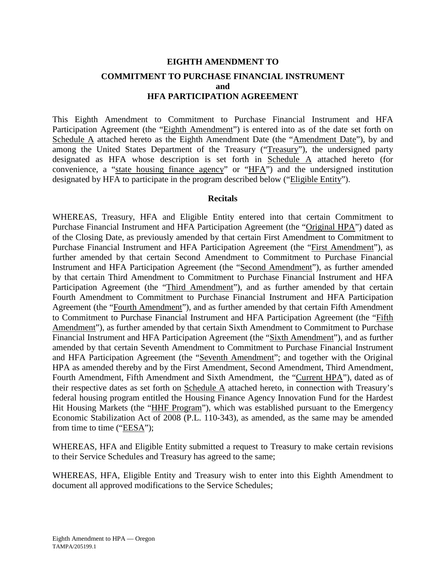# **EIGHTH AMENDMENT TO COMMITMENT TO PURCHASE FINANCIAL INSTRUMENT and HFA PARTICIPATION AGREEMENT**

This Eighth Amendment to Commitment to Purchase Financial Instrument and HFA Participation Agreement (the "Eighth Amendment") is entered into as of the date set forth on Schedule A attached hereto as the Eighth Amendment Date (the "Amendment Date"), by and among the United States Department of the Treasury ("Treasury"), the undersigned party designated as HFA whose description is set forth in Schedule A attached hereto (for convenience, a "state housing finance agency" or "HFA") and the undersigned institution designated by HFA to participate in the program described below ("Eligible Entity").

### **Recitals**

WHEREAS, Treasury, HFA and Eligible Entity entered into that certain Commitment to Purchase Financial Instrument and HFA Participation Agreement (the "Original HPA") dated as of the Closing Date, as previously amended by that certain First Amendment to Commitment to Purchase Financial Instrument and HFA Participation Agreement (the "First Amendment"), as further amended by that certain Second Amendment to Commitment to Purchase Financial Instrument and HFA Participation Agreement (the "Second Amendment"), as further amended by that certain Third Amendment to Commitment to Purchase Financial Instrument and HFA Participation Agreement (the "Third Amendment"), and as further amended by that certain Fourth Amendment to Commitment to Purchase Financial Instrument and HFA Participation Agreement (the "Fourth Amendment"), and as further amended by that certain Fifth Amendment to Commitment to Purchase Financial Instrument and HFA Participation Agreement (the "Fifth Amendment"), as further amended by that certain Sixth Amendment to Commitment to Purchase Financial Instrument and HFA Participation Agreement (the "Sixth Amendment"), and as further amended by that certain Seventh Amendment to Commitment to Purchase Financial Instrument and HFA Participation Agreement (the "Seventh Amendment"; and together with the Original HPA as amended thereby and by the First Amendment, Second Amendment, Third Amendment, Fourth Amendment, Fifth Amendment and Sixth Amendment, the "Current HPA"), dated as of their respective dates as set forth on Schedule A attached hereto, in connection with Treasury's federal housing program entitled the Housing Finance Agency Innovation Fund for the Hardest Hit Housing Markets (the "HHF Program"), which was established pursuant to the Emergency Economic Stabilization Act of 2008 (P.L. 110-343), as amended, as the same may be amended from time to time ("EESA");

WHEREAS, HFA and Eligible Entity submitted a request to Treasury to make certain revisions to their Service Schedules and Treasury has agreed to the same;

WHEREAS, HFA, Eligible Entity and Treasury wish to enter into this Eighth Amendment to document all approved modifications to the Service Schedules;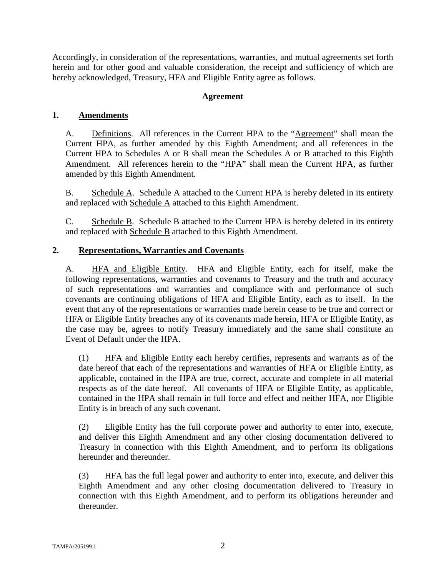Accordingly, in consideration of the representations, warranties, and mutual agreements set forth herein and for other good and valuable consideration, the receipt and sufficiency of which are hereby acknowledged, Treasury, HFA and Eligible Entity agree as follows.

# **Agreement**

# **1. Amendments**

A. Definitions. All references in the Current HPA to the "Agreement" shall mean the Current HPA, as further amended by this Eighth Amendment; and all references in the Current HPA to Schedules A or B shall mean the Schedules A or B attached to this Eighth Amendment. All references herein to the "HPA" shall mean the Current HPA, as further amended by this Eighth Amendment.

B. Schedule A. Schedule A attached to the Current HPA is hereby deleted in its entirety and replaced with Schedule A attached to this Eighth Amendment.

C. Schedule B. Schedule B attached to the Current HPA is hereby deleted in its entirety and replaced with Schedule B attached to this Eighth Amendment.

# **2. Representations, Warranties and Covenants**

A. HFA and Eligible Entity. HFA and Eligible Entity, each for itself, make the following representations, warranties and covenants to Treasury and the truth and accuracy of such representations and warranties and compliance with and performance of such covenants are continuing obligations of HFA and Eligible Entity, each as to itself. In the event that any of the representations or warranties made herein cease to be true and correct or HFA or Eligible Entity breaches any of its covenants made herein, HFA or Eligible Entity, as the case may be, agrees to notify Treasury immediately and the same shall constitute an Event of Default under the HPA.

(1) HFA and Eligible Entity each hereby certifies, represents and warrants as of the date hereof that each of the representations and warranties of HFA or Eligible Entity, as applicable, contained in the HPA are true, correct, accurate and complete in all material respects as of the date hereof. All covenants of HFA or Eligible Entity, as applicable, contained in the HPA shall remain in full force and effect and neither HFA, nor Eligible Entity is in breach of any such covenant.

(2) Eligible Entity has the full corporate power and authority to enter into, execute, and deliver this Eighth Amendment and any other closing documentation delivered to Treasury in connection with this Eighth Amendment, and to perform its obligations hereunder and thereunder.

(3) HFA has the full legal power and authority to enter into, execute, and deliver this Eighth Amendment and any other closing documentation delivered to Treasury in connection with this Eighth Amendment, and to perform its obligations hereunder and thereunder.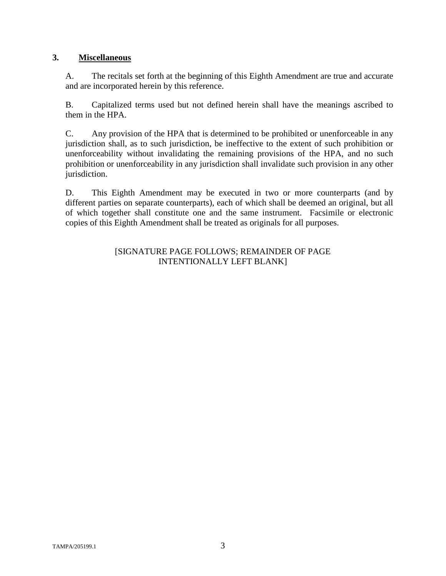# **3. Miscellaneous**

A. The recitals set forth at the beginning of this Eighth Amendment are true and accurate and are incorporated herein by this reference.

B. Capitalized terms used but not defined herein shall have the meanings ascribed to them in the HPA.

C. Any provision of the HPA that is determined to be prohibited or unenforceable in any jurisdiction shall, as to such jurisdiction, be ineffective to the extent of such prohibition or unenforceability without invalidating the remaining provisions of the HPA, and no such prohibition or unenforceability in any jurisdiction shall invalidate such provision in any other jurisdiction.

D. This Eighth Amendment may be executed in two or more counterparts (and by different parties on separate counterparts), each of which shall be deemed an original, but all of which together shall constitute one and the same instrument. Facsimile or electronic copies of this Eighth Amendment shall be treated as originals for all purposes.

# [SIGNATURE PAGE FOLLOWS; REMAINDER OF PAGE INTENTIONALLY LEFT BLANK]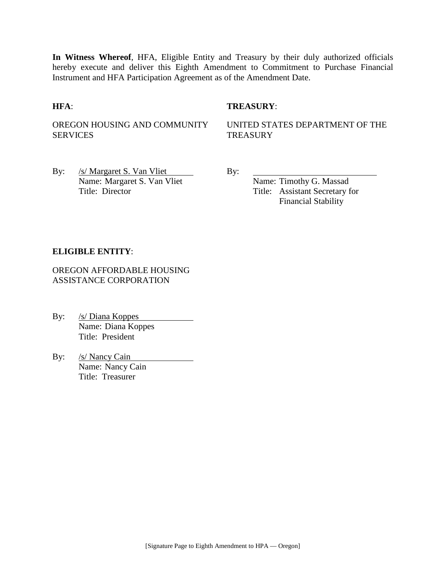**In Witness Whereof**, HFA, Eligible Entity and Treasury by their duly authorized officials hereby execute and deliver this Eighth Amendment to Commitment to Purchase Financial Instrument and HFA Participation Agreement as of the Amendment Date.

### **HFA**: **TREASURY**:

OREGON HOUSING AND COMMUNITY **SERVICES** 

UNITED STATES DEPARTMENT OF THE **TREASURY** 

By: /s/ Margaret S. Van Vliet By: Name: Margaret S. Van Vliet Name: Timothy G. Massad Title: Director Title: Assistant Secretary for

Financial Stability

### **ELIGIBLE ENTITY**:

OREGON AFFORDABLE HOUSING ASSISTANCE CORPORATION

- By: /s/ Diana Koppes Name: Diana Koppes Title: President
- By: /s/ Nancy Cain Name: Nancy Cain Title: Treasurer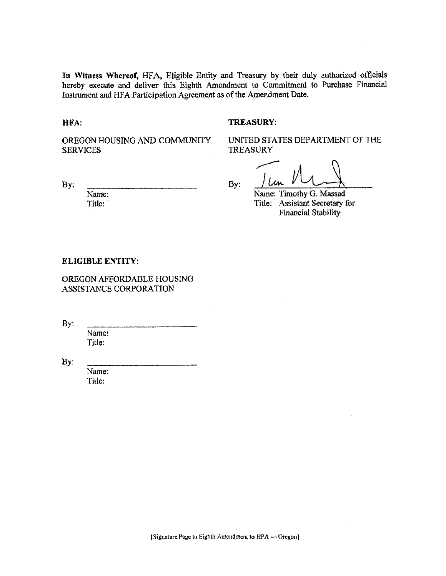In Witness Whereof, HFA, Eligible Entity and Treasury by their duly authorized officials hereby execute and deliver this Eighth Amendment to Commitment to Purchase Financial Instrument and HFA Participation Agreement as of the Amendment Date.

### HFA:

#### TREASURY:

OREGON HOUSING AND COMMUNITY **SERVICES** 

UNITED STATES DEPARTMENT OF THE **TREASURY** 

By:

Name: Title:

Lin By:

Name: Timothy G. Massad Title: Assistant Secretary for **Financial Stability** 

#### **ELIGIBLE ENTITY:**

OREGON AFFORDABLE HOUSING ASSISTANCE CORPORATION

By:

Name: Title:

 $By:$ 

Name: Title:

[Signature Page to Eighth Amendment to HPA - Oregon]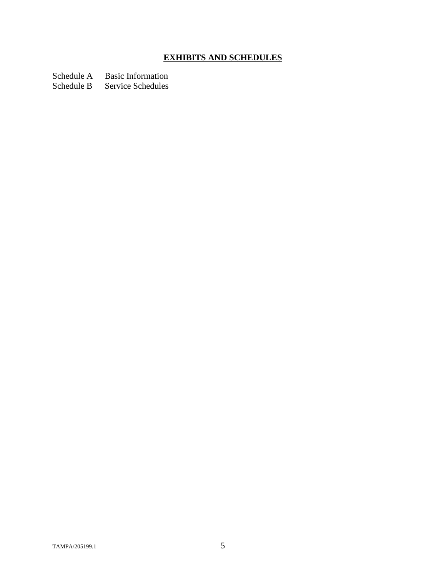# **EXHIBITS AND SCHEDULES**

Schedule A Basic Information<br>Schedule B Service Schedules

Service Schedules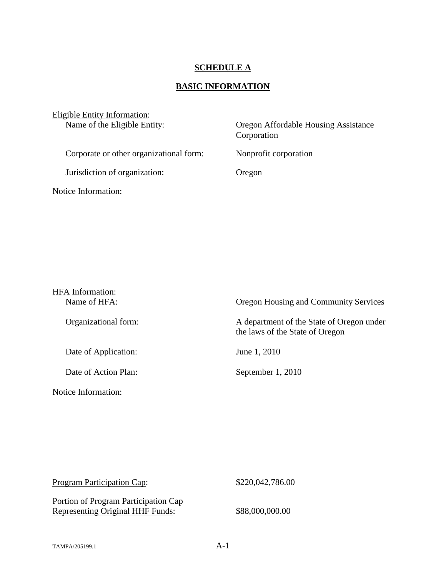# **SCHEDULE A**

# **BASIC INFORMATION**

| Eligible Entity Information:<br>Name of the Eligible Entity: | Oregon Affordable Housing Assistance<br>Corporation |  |
|--------------------------------------------------------------|-----------------------------------------------------|--|
| Corporate or other organizational form:                      | Nonprofit corporation                               |  |
| Jurisdiction of organization:                                | Oregon                                              |  |
| Notice Information:                                          |                                                     |  |

| <b>HFA</b> Information:<br>Name of HFA: | Oregon Housing and Community Services                                        |
|-----------------------------------------|------------------------------------------------------------------------------|
| Organizational form:                    | A department of the State of Oregon under<br>the laws of the State of Oregon |
| Date of Application:                    | June 1, 2010                                                                 |
| Date of Action Plan:                    | September 1, 2010                                                            |
| Notice Information:                     |                                                                              |

| <b>Program Participation Cap:</b>                                               | \$220,042,786.00 |
|---------------------------------------------------------------------------------|------------------|
| Portion of Program Participation Cap<br><b>Representing Original HHF Funds:</b> | \$88,000,000.00  |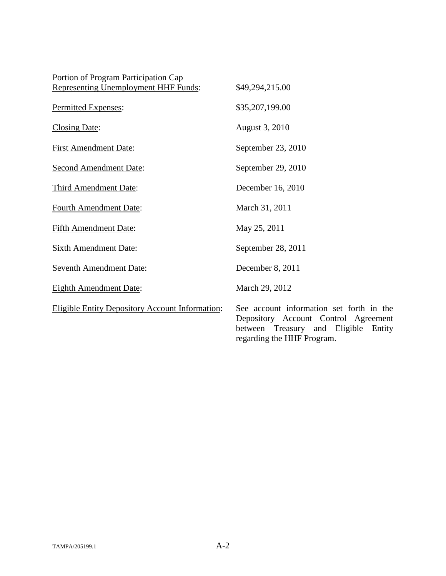| Portion of Program Participation Cap<br><b>Representing Unemployment HHF Funds:</b> | \$49,294,215.00                                                                                                                                           |
|-------------------------------------------------------------------------------------|-----------------------------------------------------------------------------------------------------------------------------------------------------------|
| Permitted Expenses:                                                                 | \$35,207,199.00                                                                                                                                           |
| <b>Closing Date:</b>                                                                | August 3, 2010                                                                                                                                            |
| <b>First Amendment Date:</b>                                                        | September 23, 2010                                                                                                                                        |
| <b>Second Amendment Date:</b>                                                       | September 29, 2010                                                                                                                                        |
| Third Amendment Date:                                                               | December 16, 2010                                                                                                                                         |
| <b>Fourth Amendment Date:</b>                                                       | March 31, 2011                                                                                                                                            |
| <b>Fifth Amendment Date:</b>                                                        | May 25, 2011                                                                                                                                              |
| <b>Sixth Amendment Date:</b>                                                        | September 28, 2011                                                                                                                                        |
| <b>Seventh Amendment Date:</b>                                                      | December 8, 2011                                                                                                                                          |
| <b>Eighth Amendment Date:</b>                                                       | March 29, 2012                                                                                                                                            |
| <b>Eligible Entity Depository Account Information:</b>                              | See account information set forth in the<br>Depository Account Control Agreement<br>between Treasury and Eligible<br>Entity<br>regarding the HHF Program. |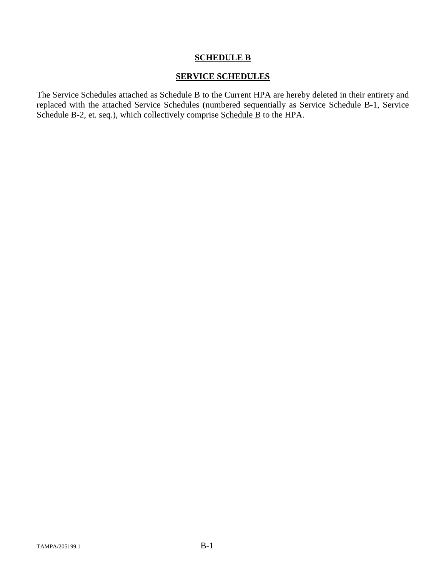# **SCHEDULE B**

# **SERVICE SCHEDULES**

The Service Schedules attached as Schedule B to the Current HPA are hereby deleted in their entirety and replaced with the attached Service Schedules (numbered sequentially as Service Schedule B-1, Service Schedule B-2, et. seq.), which collectively comprise Schedule B to the HPA.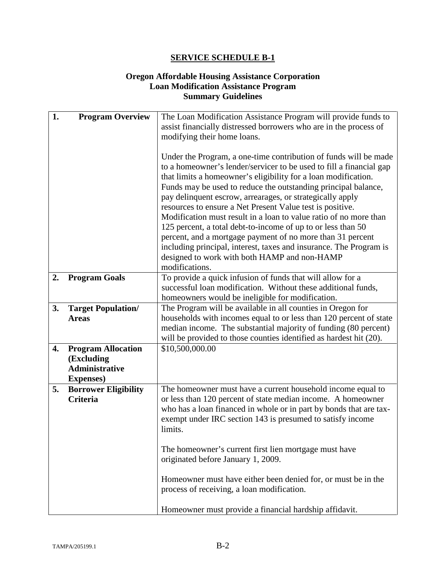# **Oregon Affordable Housing Assistance Corporation Loan Modification Assistance Program Summary Guidelines**

| 1. | <b>Program Overview</b>                          | The Loan Modification Assistance Program will provide funds to                                                              |
|----|--------------------------------------------------|-----------------------------------------------------------------------------------------------------------------------------|
|    |                                                  | assist financially distressed borrowers who are in the process of                                                           |
|    |                                                  | modifying their home loans.                                                                                                 |
|    |                                                  | Under the Program, a one-time contribution of funds will be made                                                            |
|    |                                                  | to a homeowner's lender/servicer to be used to fill a financial gap                                                         |
|    |                                                  | that limits a homeowner's eligibility for a loan modification.                                                              |
|    |                                                  | Funds may be used to reduce the outstanding principal balance,                                                              |
|    |                                                  | pay delinquent escrow, arrearages, or strategically apply<br>resources to ensure a Net Present Value test is positive.      |
|    |                                                  | Modification must result in a loan to value ratio of no more than                                                           |
|    |                                                  | 125 percent, a total debt-to-income of up to or less than 50                                                                |
|    |                                                  | percent, and a mortgage payment of no more than 31 percent                                                                  |
|    |                                                  | including principal, interest, taxes and insurance. The Program is                                                          |
|    |                                                  | designed to work with both HAMP and non-HAMP                                                                                |
|    |                                                  | modifications.                                                                                                              |
| 2. | <b>Program Goals</b>                             | To provide a quick infusion of funds that will allow for a<br>successful loan modification. Without these additional funds, |
|    |                                                  | homeowners would be ineligible for modification.                                                                            |
| 3. | <b>Target Population/</b>                        | The Program will be available in all counties in Oregon for                                                                 |
|    | <b>Areas</b>                                     | households with incomes equal to or less than 120 percent of state                                                          |
|    |                                                  | median income. The substantial majority of funding (80 percent)                                                             |
|    |                                                  | will be provided to those counties identified as hardest hit (20).                                                          |
| 4. | <b>Program Allocation</b>                        | \$10,500,000.00                                                                                                             |
|    | (Excluding                                       |                                                                                                                             |
|    | <b>Administrative</b>                            |                                                                                                                             |
| 5. | <b>Expenses</b> )<br><b>Borrower Eligibility</b> | The homeowner must have a current household income equal to                                                                 |
|    | <b>Criteria</b>                                  | or less than 120 percent of state median income. A homeowner                                                                |
|    |                                                  | who has a loan financed in whole or in part by bonds that are tax-                                                          |
|    |                                                  | exempt under IRC section 143 is presumed to satisfy income                                                                  |
|    |                                                  | limits.                                                                                                                     |
|    |                                                  | The homeowner's current first lien mortgage must have                                                                       |
|    |                                                  | originated before January 1, 2009.                                                                                          |
|    |                                                  | Homeowner must have either been denied for, or must be in the                                                               |
|    |                                                  | process of receiving, a loan modification.                                                                                  |
|    |                                                  | Homeowner must provide a financial hardship affidavit.                                                                      |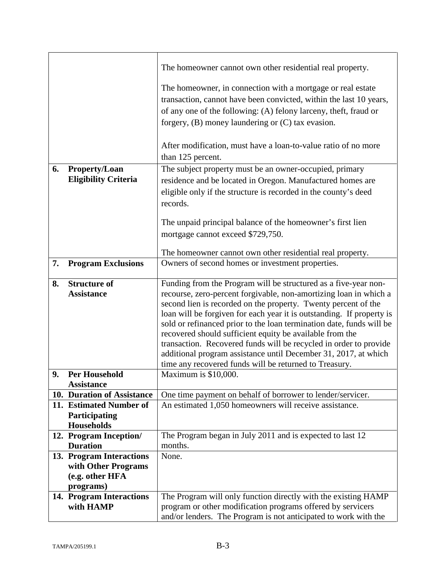|    |                                           | The homeowner cannot own other residential real property.             |
|----|-------------------------------------------|-----------------------------------------------------------------------|
|    |                                           | The homeowner, in connection with a mortgage or real estate           |
|    |                                           | transaction, cannot have been convicted, within the last 10 years,    |
|    |                                           | of any one of the following: (A) felony larceny, theft, fraud or      |
|    |                                           | forgery, $(B)$ money laundering or $(C)$ tax evasion.                 |
|    |                                           |                                                                       |
|    |                                           | After modification, must have a loan-to-value ratio of no more        |
|    |                                           | than 125 percent.                                                     |
| 6. | Property/Loan                             | The subject property must be an owner-occupied, primary               |
|    | <b>Eligibility Criteria</b>               | residence and be located in Oregon. Manufactured homes are            |
|    |                                           | eligible only if the structure is recorded in the county's deed       |
|    |                                           |                                                                       |
|    |                                           | records.                                                              |
|    |                                           | The unpaid principal balance of the homeowner's first lien            |
|    |                                           | mortgage cannot exceed \$729,750.                                     |
|    |                                           |                                                                       |
|    |                                           | The homeowner cannot own other residential real property.             |
| 7. | <b>Program Exclusions</b>                 | Owners of second homes or investment properties.                      |
|    |                                           |                                                                       |
| 8. | <b>Structure of</b>                       | Funding from the Program will be structured as a five-year non-       |
|    | <b>Assistance</b>                         | recourse, zero-percent forgivable, non-amortizing loan in which a     |
|    |                                           | second lien is recorded on the property. Twenty percent of the        |
|    |                                           | loan will be forgiven for each year it is outstanding. If property is |
|    |                                           | sold or refinanced prior to the loan termination date, funds will be  |
|    |                                           | recovered should sufficient equity be available from the              |
|    |                                           | transaction. Recovered funds will be recycled in order to provide     |
|    |                                           | additional program assistance until December 31, 2017, at which       |
|    |                                           | time any recovered funds will be returned to Treasury.                |
| 9. | <b>Per Household</b><br><b>Assistance</b> | Maximum is \$10,000.                                                  |
|    | 10. Duration of Assistance                | One time payment on behalf of borrower to lender/servicer.            |
|    | 11. Estimated Number of                   | An estimated 1,050 homeowners will receive assistance.                |
|    | Participating                             |                                                                       |
|    | <b>Households</b>                         |                                                                       |
|    | 12. Program Inception/                    | The Program began in July 2011 and is expected to last 12             |
|    | <b>Duration</b>                           | months.                                                               |
|    | 13. Program Interactions                  | None.                                                                 |
|    | with Other Programs                       |                                                                       |
|    | (e.g. other HFA                           |                                                                       |
|    | programs)                                 |                                                                       |
|    | 14. Program Interactions                  | The Program will only function directly with the existing HAMP        |
|    | with HAMP                                 | program or other modification programs offered by servicers           |
|    |                                           | and/or lenders. The Program is not anticipated to work with the       |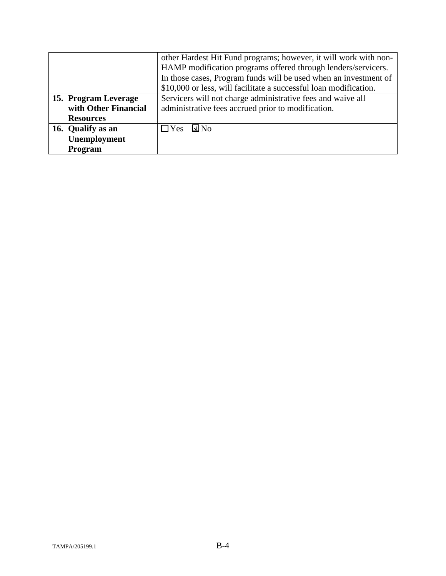|                      | other Hardest Hit Fund programs; however, it will work with non-  |
|----------------------|-------------------------------------------------------------------|
|                      | HAMP modification programs offered through lenders/servicers.     |
|                      | In those cases, Program funds will be used when an investment of  |
|                      | \$10,000 or less, will facilitate a successful loan modification. |
| 15. Program Leverage | Servicers will not charge administrative fees and waive all       |
| with Other Financial | administrative fees accrued prior to modification.                |
| <b>Resources</b>     |                                                                   |
| 16. Qualify as an    | $\Box$ Yes $\Box$ No                                              |
| Unemployment         |                                                                   |
| Program              |                                                                   |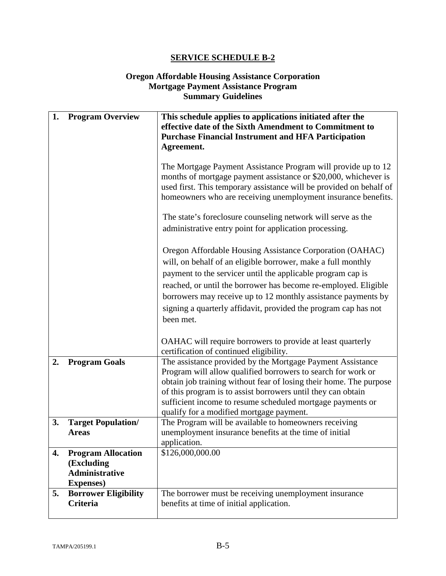# **Oregon Affordable Housing Assistance Corporation Mortgage Payment Assistance Program Summary Guidelines**

| 1. | <b>Program Overview</b>                                                               | This schedule applies to applications initiated after the<br>effective date of the Sixth Amendment to Commitment to                                                                                                                                                                                                                                                                                         |
|----|---------------------------------------------------------------------------------------|-------------------------------------------------------------------------------------------------------------------------------------------------------------------------------------------------------------------------------------------------------------------------------------------------------------------------------------------------------------------------------------------------------------|
|    |                                                                                       | <b>Purchase Financial Instrument and HFA Participation</b><br>Agreement.                                                                                                                                                                                                                                                                                                                                    |
|    |                                                                                       | The Mortgage Payment Assistance Program will provide up to 12<br>months of mortgage payment assistance or \$20,000, whichever is<br>used first. This temporary assistance will be provided on behalf of<br>homeowners who are receiving unemployment insurance benefits.                                                                                                                                    |
|    |                                                                                       | The state's foreclosure counseling network will serve as the<br>administrative entry point for application processing.                                                                                                                                                                                                                                                                                      |
|    |                                                                                       | Oregon Affordable Housing Assistance Corporation (OAHAC)<br>will, on behalf of an eligible borrower, make a full monthly<br>payment to the servicer until the applicable program cap is<br>reached, or until the borrower has become re-employed. Eligible<br>borrowers may receive up to 12 monthly assistance payments by<br>signing a quarterly affidavit, provided the program cap has not<br>been met. |
|    |                                                                                       | OAHAC will require borrowers to provide at least quarterly<br>certification of continued eligibility.                                                                                                                                                                                                                                                                                                       |
| 2. | <b>Program Goals</b>                                                                  | The assistance provided by the Mortgage Payment Assistance<br>Program will allow qualified borrowers to search for work or<br>obtain job training without fear of losing their home. The purpose<br>of this program is to assist borrowers until they can obtain<br>sufficient income to resume scheduled mortgage payments or<br>qualify for a modified mortgage payment.                                  |
| 3. | <b>Target Population/</b><br>Areas                                                    | The Program will be available to homeowners receiving<br>unemployment insurance benefits at the time of initial<br>application.                                                                                                                                                                                                                                                                             |
| 4. | <b>Program Allocation</b><br>(Excluding<br><b>Administrative</b><br><b>Expenses</b> ) | \$126,000,000.00                                                                                                                                                                                                                                                                                                                                                                                            |
| 5. | <b>Borrower Eligibility</b><br><b>Criteria</b>                                        | The borrower must be receiving unemployment insurance<br>benefits at time of initial application.                                                                                                                                                                                                                                                                                                           |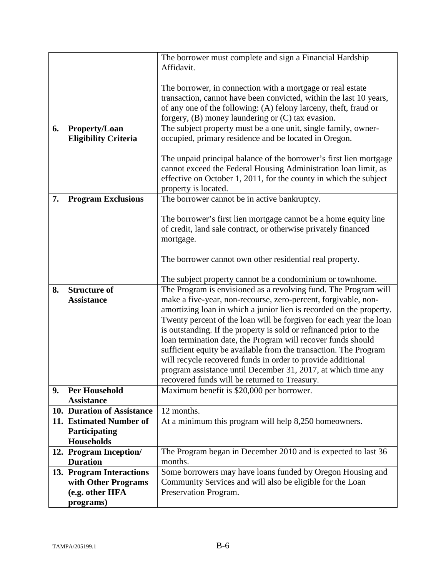|    |                             | The borrower must complete and sign a Financial Hardship                                                                     |
|----|-----------------------------|------------------------------------------------------------------------------------------------------------------------------|
|    |                             | Affidavit.                                                                                                                   |
|    |                             |                                                                                                                              |
|    |                             | The borrower, in connection with a mortgage or real estate                                                                   |
|    |                             | transaction, cannot have been convicted, within the last 10 years,                                                           |
|    |                             | of any one of the following: (A) felony larceny, theft, fraud or                                                             |
|    |                             | forgery, $(B)$ money laundering or $(C)$ tax evasion.                                                                        |
| 6. | <b>Property/Loan</b>        | The subject property must be a one unit, single family, owner-                                                               |
|    | <b>Eligibility Criteria</b> | occupied, primary residence and be located in Oregon.                                                                        |
|    |                             |                                                                                                                              |
|    |                             | The unpaid principal balance of the borrower's first lien mortgage                                                           |
|    |                             | cannot exceed the Federal Housing Administration loan limit, as                                                              |
|    |                             | effective on October 1, 2011, for the county in which the subject                                                            |
|    |                             | property is located.                                                                                                         |
| 7. | <b>Program Exclusions</b>   | The borrower cannot be in active bankruptcy.                                                                                 |
|    |                             |                                                                                                                              |
|    |                             | The borrower's first lien mortgage cannot be a home equity line                                                              |
|    |                             | of credit, land sale contract, or otherwise privately financed                                                               |
|    |                             | mortgage.                                                                                                                    |
|    |                             |                                                                                                                              |
|    |                             | The borrower cannot own other residential real property.                                                                     |
|    |                             |                                                                                                                              |
| 8. | <b>Structure of</b>         | The subject property cannot be a condominium or townhome.<br>The Program is envisioned as a revolving fund. The Program will |
|    | <b>Assistance</b>           | make a five-year, non-recourse, zero-percent, forgivable, non-                                                               |
|    |                             | amortizing loan in which a junior lien is recorded on the property.                                                          |
|    |                             | Twenty percent of the loan will be forgiven for each year the loan                                                           |
|    |                             | is outstanding. If the property is sold or refinanced prior to the                                                           |
|    |                             | loan termination date, the Program will recover funds should                                                                 |
|    |                             | sufficient equity be available from the transaction. The Program                                                             |
|    |                             | will recycle recovered funds in order to provide additional                                                                  |
|    |                             | program assistance until December 31, 2017, at which time any                                                                |
|    |                             | recovered funds will be returned to Treasury.                                                                                |
| 9. | <b>Per Household</b>        | Maximum benefit is \$20,000 per borrower.                                                                                    |
|    | <b>Assistance</b>           |                                                                                                                              |
|    | 10. Duration of Assistance  | 12 months.                                                                                                                   |
|    | 11. Estimated Number of     | At a minimum this program will help 8,250 homeowners.                                                                        |
|    | Participating               |                                                                                                                              |
|    | <b>Households</b>           |                                                                                                                              |
|    | 12. Program Inception/      | The Program began in December 2010 and is expected to last 36                                                                |
|    | <b>Duration</b>             | months.                                                                                                                      |
|    | 13. Program Interactions    | Some borrowers may have loans funded by Oregon Housing and                                                                   |
|    | with Other Programs         | Community Services and will also be eligible for the Loan                                                                    |
|    | (e.g. other HFA             | Preservation Program.                                                                                                        |
|    | programs)                   |                                                                                                                              |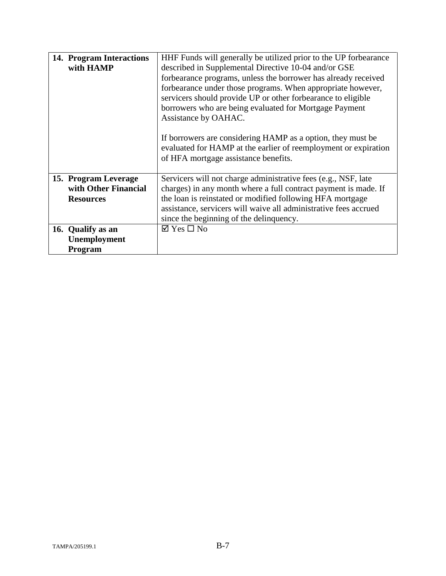| 14. Program Interactions | HHF Funds will generally be utilized prior to the UP forbearance |
|--------------------------|------------------------------------------------------------------|
| with HAMP                | described in Supplemental Directive 10-04 and/or GSE             |
|                          | forbearance programs, unless the borrower has already received   |
|                          | forbearance under those programs. When appropriate however,      |
|                          | servicers should provide UP or other forbearance to eligible     |
|                          | borrowers who are being evaluated for Mortgage Payment           |
|                          | Assistance by OAHAC.                                             |
|                          |                                                                  |
|                          | If borrowers are considering HAMP as a option, they must be      |
|                          | evaluated for HAMP at the earlier of reemployment or expiration  |
|                          | of HFA mortgage assistance benefits.                             |
|                          |                                                                  |
| 15. Program Leverage     | Servicers will not charge administrative fees (e.g., NSF, late   |
| with Other Financial     | charges) in any month where a full contract payment is made. If  |
| <b>Resources</b>         | the loan is reinstated or modified following HFA mortgage        |
|                          | assistance, servicers will waive all administrative fees accrued |
|                          | since the beginning of the delinquency.                          |
| 16. Qualify as an        | $\boxtimes$ Yes $\Box$ No                                        |
| Unemployment             |                                                                  |
| Program                  |                                                                  |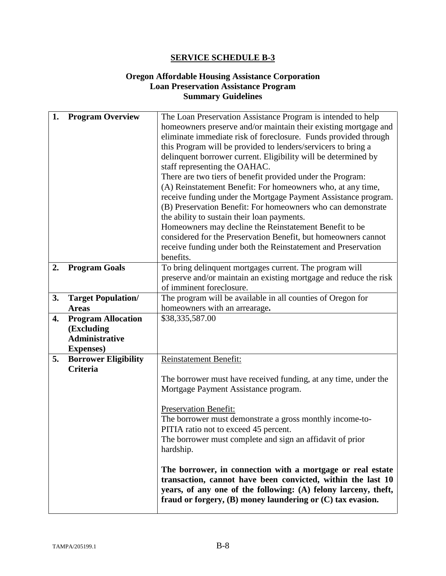# **Oregon Affordable Housing Assistance Corporation Loan Preservation Assistance Program Summary Guidelines**

| 1. | <b>Program Overview</b>     | The Loan Preservation Assistance Program is intended to help                                                              |
|----|-----------------------------|---------------------------------------------------------------------------------------------------------------------------|
|    |                             | homeowners preserve and/or maintain their existing mortgage and                                                           |
|    |                             | eliminate immediate risk of foreclosure. Funds provided through                                                           |
|    |                             | this Program will be provided to lenders/servicers to bring a                                                             |
|    |                             | delinquent borrower current. Eligibility will be determined by                                                            |
|    |                             | staff representing the OAHAC.                                                                                             |
|    |                             | There are two tiers of benefit provided under the Program:                                                                |
|    |                             | (A) Reinstatement Benefit: For homeowners who, at any time,                                                               |
|    |                             | receive funding under the Mortgage Payment Assistance program.                                                            |
|    |                             | (B) Preservation Benefit: For homeowners who can demonstrate                                                              |
|    |                             | the ability to sustain their loan payments.                                                                               |
|    |                             | Homeowners may decline the Reinstatement Benefit to be                                                                    |
|    |                             | considered for the Preservation Benefit, but homeowners cannot                                                            |
|    |                             | receive funding under both the Reinstatement and Preservation                                                             |
|    |                             | benefits.                                                                                                                 |
| 2. | <b>Program Goals</b>        | To bring delinquent mortgages current. The program will                                                                   |
|    |                             | preserve and/or maintain an existing mortgage and reduce the risk                                                         |
|    |                             | of imminent foreclosure.                                                                                                  |
| 3. | <b>Target Population/</b>   | The program will be available in all counties of Oregon for                                                               |
|    | <b>Areas</b>                | homeowners with an arrearage.                                                                                             |
| 4. | <b>Program Allocation</b>   | \$38,335,587.00                                                                                                           |
|    | (Excluding                  |                                                                                                                           |
|    | <b>Administrative</b>       |                                                                                                                           |
|    | <b>Expenses</b> )           |                                                                                                                           |
| 5. | <b>Borrower Eligibility</b> | Reinstatement Benefit:                                                                                                    |
|    | <b>Criteria</b>             |                                                                                                                           |
|    |                             | The borrower must have received funding, at any time, under the                                                           |
|    |                             | Mortgage Payment Assistance program.                                                                                      |
|    |                             |                                                                                                                           |
|    |                             | <b>Preservation Benefit:</b>                                                                                              |
|    |                             | The borrower must demonstrate a gross monthly income-to-                                                                  |
|    |                             | PITIA ratio not to exceed 45 percent.                                                                                     |
|    |                             | The borrower must complete and sign an affidavit of prior                                                                 |
|    |                             | hardship.                                                                                                                 |
|    |                             |                                                                                                                           |
|    |                             | The borrower, in connection with a mortgage or real estate<br>transaction, cannot have been convicted, within the last 10 |
|    |                             | years, of any one of the following: (A) felony larceny, theft,                                                            |
|    |                             | fraud or forgery, (B) money laundering or (C) tax evasion.                                                                |
|    |                             |                                                                                                                           |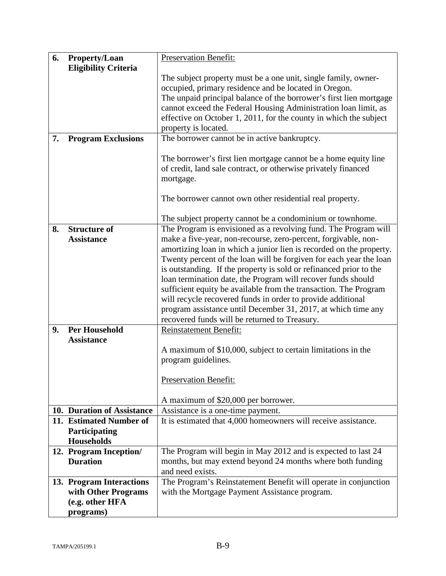| 6. | Property/Loan               | Preservation Benefit:                                                                                                           |
|----|-----------------------------|---------------------------------------------------------------------------------------------------------------------------------|
|    | <b>Eligibility Criteria</b> |                                                                                                                                 |
|    |                             | The subject property must be a one unit, single family, owner-<br>occupied, primary residence and be located in Oregon.         |
|    |                             | The unpaid principal balance of the borrower's first lien mortgage                                                              |
|    |                             | cannot exceed the Federal Housing Administration loan limit, as                                                                 |
|    |                             | effective on October 1, 2011, for the county in which the subject                                                               |
|    |                             | property is located.                                                                                                            |
| 7. | <b>Program Exclusions</b>   | The borrower cannot be in active bankruptcy.                                                                                    |
|    |                             |                                                                                                                                 |
|    |                             | The borrower's first lien mortgage cannot be a home equity line                                                                 |
|    |                             | of credit, land sale contract, or otherwise privately financed                                                                  |
|    |                             | mortgage.                                                                                                                       |
|    |                             | The borrower cannot own other residential real property.                                                                        |
|    |                             |                                                                                                                                 |
|    |                             | The subject property cannot be a condominium or townhome.                                                                       |
| 8. | <b>Structure of</b>         | The Program is envisioned as a revolving fund. The Program will                                                                 |
|    | <b>Assistance</b>           | make a five-year, non-recourse, zero-percent, forgivable, non-                                                                  |
|    |                             | amortizing loan in which a junior lien is recorded on the property.                                                             |
|    |                             | Twenty percent of the loan will be forgiven for each year the loan                                                              |
|    |                             | is outstanding. If the property is sold or refinanced prior to the                                                              |
|    |                             | loan termination date, the Program will recover funds should                                                                    |
|    |                             | sufficient equity be available from the transaction. The Program<br>will recycle recovered funds in order to provide additional |
|    |                             | program assistance until December 31, 2017, at which time any                                                                   |
|    |                             | recovered funds will be returned to Treasury.                                                                                   |
| 9. | <b>Per Household</b>        | <b>Reinstatement Benefit:</b>                                                                                                   |
|    | <b>Assistance</b>           |                                                                                                                                 |
|    |                             | A maximum of \$10,000, subject to certain limitations in the                                                                    |
|    |                             | program guidelines.                                                                                                             |
|    |                             |                                                                                                                                 |
|    |                             | <b>Preservation Benefit:</b>                                                                                                    |
|    |                             | A maximum of \$20,000 per borrower.                                                                                             |
|    | 10. Duration of Assistance  | Assistance is a one-time payment.                                                                                               |
|    | 11. Estimated Number of     | It is estimated that 4,000 homeowners will receive assistance.                                                                  |
|    | Participating               |                                                                                                                                 |
|    | <b>Households</b>           |                                                                                                                                 |
|    | 12. Program Inception/      | The Program will begin in May 2012 and is expected to last 24                                                                   |
|    | <b>Duration</b>             | months, but may extend beyond 24 months where both funding                                                                      |
|    |                             | and need exists.                                                                                                                |
|    | 13. Program Interactions    | The Program's Reinstatement Benefit will operate in conjunction                                                                 |
|    | with Other Programs         | with the Mortgage Payment Assistance program.                                                                                   |
|    | (e.g. other HFA             |                                                                                                                                 |
|    | programs)                   |                                                                                                                                 |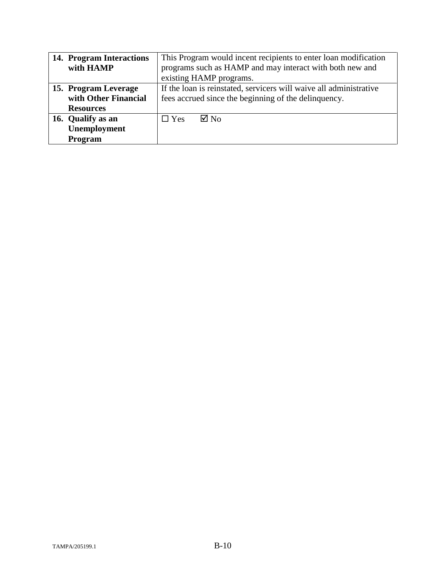| 14. Program Interactions | This Program would incent recipients to enter loan modification    |
|--------------------------|--------------------------------------------------------------------|
| with HAMP                | programs such as HAMP and may interact with both new and           |
|                          | existing HAMP programs.                                            |
| 15. Program Leverage     | If the loan is reinstated, servicers will waive all administrative |
| with Other Financial     | fees accrued since the beginning of the delinquency.               |
| <b>Resources</b>         |                                                                    |
| 16. Qualify as an        | $\boxtimes$ No<br>$\Box$ Yes                                       |
| Unemployment             |                                                                    |
| Program                  |                                                                    |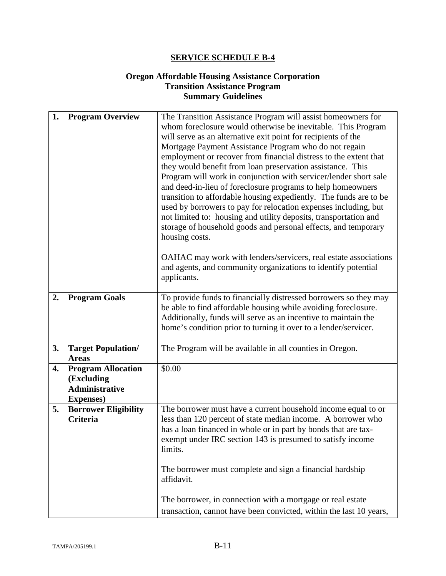# **Oregon Affordable Housing Assistance Corporation Transition Assistance Program Summary Guidelines**

| 1. | <b>Program Overview</b>                                                               | The Transition Assistance Program will assist homeowners for<br>whom foreclosure would otherwise be inevitable. This Program<br>will serve as an alternative exit point for recipients of the<br>Mortgage Payment Assistance Program who do not regain<br>employment or recover from financial distress to the extent that<br>they would benefit from loan preservation assistance. This<br>Program will work in conjunction with servicer/lender short sale<br>and deed-in-lieu of foreclosure programs to help homeowners |
|----|---------------------------------------------------------------------------------------|-----------------------------------------------------------------------------------------------------------------------------------------------------------------------------------------------------------------------------------------------------------------------------------------------------------------------------------------------------------------------------------------------------------------------------------------------------------------------------------------------------------------------------|
|    |                                                                                       | transition to affordable housing expediently. The funds are to be<br>used by borrowers to pay for relocation expenses including, but<br>not limited to: housing and utility deposits, transportation and<br>storage of household goods and personal effects, and temporary<br>housing costs.                                                                                                                                                                                                                                |
|    |                                                                                       | OAHAC may work with lenders/servicers, real estate associations<br>and agents, and community organizations to identify potential<br>applicants.                                                                                                                                                                                                                                                                                                                                                                             |
| 2. | <b>Program Goals</b>                                                                  | To provide funds to financially distressed borrowers so they may<br>be able to find affordable housing while avoiding foreclosure.<br>Additionally, funds will serve as an incentive to maintain the<br>home's condition prior to turning it over to a lender/servicer.                                                                                                                                                                                                                                                     |
| 3. | <b>Target Population/</b><br><b>Areas</b>                                             | The Program will be available in all counties in Oregon.                                                                                                                                                                                                                                                                                                                                                                                                                                                                    |
| 4. | <b>Program Allocation</b><br>(Excluding<br><b>Administrative</b><br><b>Expenses</b> ) | \$0.00                                                                                                                                                                                                                                                                                                                                                                                                                                                                                                                      |
| 5. | <b>Borrower Eligibility</b><br><b>Criteria</b>                                        | The borrower must have a current household income equal to or<br>less than 120 percent of state median income. A borrower who<br>has a loan financed in whole or in part by bonds that are tax-<br>exempt under IRC section 143 is presumed to satisfy income<br>limits.                                                                                                                                                                                                                                                    |
|    |                                                                                       | The borrower must complete and sign a financial hardship<br>affidavit.                                                                                                                                                                                                                                                                                                                                                                                                                                                      |
|    |                                                                                       | The borrower, in connection with a mortgage or real estate<br>transaction, cannot have been convicted, within the last 10 years,                                                                                                                                                                                                                                                                                                                                                                                            |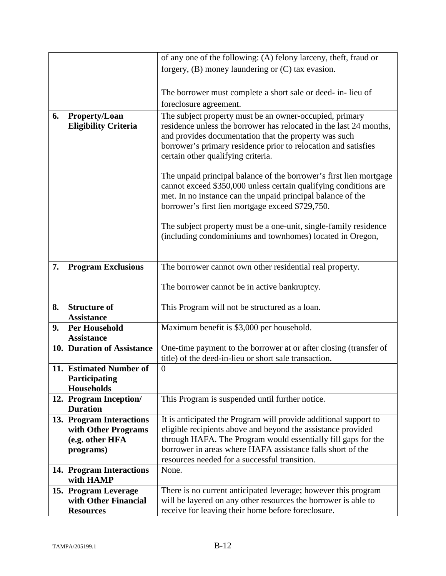|    |                                                               | of any one of the following: (A) felony larceny, theft, fraud or                                                                                                                                                                                          |
|----|---------------------------------------------------------------|-----------------------------------------------------------------------------------------------------------------------------------------------------------------------------------------------------------------------------------------------------------|
|    |                                                               | forgery, $(B)$ money laundering or $(C)$ tax evasion.                                                                                                                                                                                                     |
|    |                                                               |                                                                                                                                                                                                                                                           |
|    |                                                               | The borrower must complete a short sale or deed- in-lieu of                                                                                                                                                                                               |
|    |                                                               | foreclosure agreement.                                                                                                                                                                                                                                    |
| 6. | <b>Property/Loan</b>                                          | The subject property must be an owner-occupied, primary                                                                                                                                                                                                   |
|    | <b>Eligibility Criteria</b>                                   | residence unless the borrower has relocated in the last 24 months,<br>and provides documentation that the property was such<br>borrower's primary residence prior to relocation and satisfies<br>certain other qualifying criteria.                       |
|    |                                                               | The unpaid principal balance of the borrower's first lien mortgage<br>cannot exceed \$350,000 unless certain qualifying conditions are<br>met. In no instance can the unpaid principal balance of the<br>borrower's first lien mortgage exceed \$729,750. |
|    |                                                               | The subject property must be a one-unit, single-family residence<br>(including condominiums and townhomes) located in Oregon,                                                                                                                             |
| 7. | <b>Program Exclusions</b>                                     | The borrower cannot own other residential real property.                                                                                                                                                                                                  |
|    |                                                               | The borrower cannot be in active bankruptcy.                                                                                                                                                                                                              |
| 8. | <b>Structure of</b><br><b>Assistance</b>                      | This Program will not be structured as a loan.                                                                                                                                                                                                            |
| 9. | <b>Per Household</b><br><b>Assistance</b>                     | Maximum benefit is \$3,000 per household.                                                                                                                                                                                                                 |
|    | 10. Duration of Assistance                                    | One-time payment to the borrower at or after closing (transfer of<br>title) of the deed-in-lieu or short sale transaction.                                                                                                                                |
|    | 11. Estimated Number of<br>Participating<br><b>Households</b> | $\overline{0}$                                                                                                                                                                                                                                            |
|    | 12. Program Inception/<br><b>Duration</b>                     | This Program is suspended until further notice.                                                                                                                                                                                                           |
|    | 13. Program Interactions                                      | It is anticipated the Program will provide additional support to                                                                                                                                                                                          |
|    | with Other Programs                                           | eligible recipients above and beyond the assistance provided                                                                                                                                                                                              |
|    | (e.g. other HFA                                               | through HAFA. The Program would essentially fill gaps for the                                                                                                                                                                                             |
|    | programs)                                                     | borrower in areas where HAFA assistance falls short of the                                                                                                                                                                                                |
|    |                                                               | resources needed for a successful transition.                                                                                                                                                                                                             |
|    | 14. Program Interactions<br>with HAMP                         | None.                                                                                                                                                                                                                                                     |
|    | 15. Program Leverage                                          | There is no current anticipated leverage; however this program                                                                                                                                                                                            |
|    | with Other Financial                                          | will be layered on any other resources the borrower is able to                                                                                                                                                                                            |
|    | <b>Resources</b>                                              | receive for leaving their home before foreclosure.                                                                                                                                                                                                        |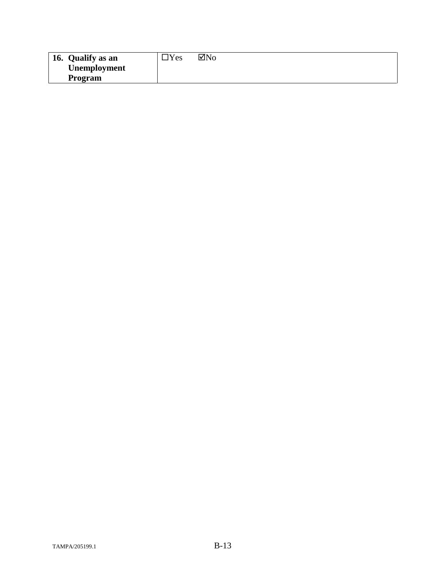| 16. Qualify as an | $\neg$ $\mathbf{v}_{\text{es}}$ | ⊠No |
|-------------------|---------------------------------|-----|
| Unemployment      |                                 |     |
| Program           |                                 |     |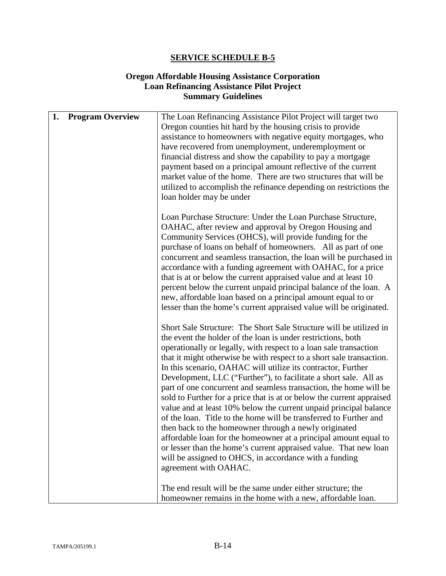# **Oregon Affordable Housing Assistance Corporation Loan Refinancing Assistance Pilot Project Summary Guidelines**

| 1. | <b>Program Overview</b> | The Loan Refinancing Assistance Pilot Project will target two                                                                         |
|----|-------------------------|---------------------------------------------------------------------------------------------------------------------------------------|
|    |                         | Oregon counties hit hard by the housing crisis to provide                                                                             |
|    |                         | assistance to homeowners with negative equity mortgages, who                                                                          |
|    |                         | have recovered from unemployment, underemployment or                                                                                  |
|    |                         | financial distress and show the capability to pay a mortgage                                                                          |
|    |                         | payment based on a principal amount reflective of the current                                                                         |
|    |                         | market value of the home. There are two structures that will be<br>utilized to accomplish the refinance depending on restrictions the |
|    |                         | loan holder may be under                                                                                                              |
|    |                         |                                                                                                                                       |
|    |                         | Loan Purchase Structure: Under the Loan Purchase Structure,                                                                           |
|    |                         | OAHAC, after review and approval by Oregon Housing and                                                                                |
|    |                         | Community Services (OHCS), will provide funding for the                                                                               |
|    |                         | purchase of loans on behalf of homeowners. All as part of one                                                                         |
|    |                         | concurrent and seamless transaction, the loan will be purchased in                                                                    |
|    |                         | accordance with a funding agreement with OAHAC, for a price                                                                           |
|    |                         | that is at or below the current appraised value and at least 10                                                                       |
|    |                         | percent below the current unpaid principal balance of the loan. A                                                                     |
|    |                         | new, affordable loan based on a principal amount equal to or                                                                          |
|    |                         | lesser than the home's current appraised value will be originated.                                                                    |
|    |                         | Short Sale Structure: The Short Sale Structure will be utilized in                                                                    |
|    |                         | the event the holder of the loan is under restrictions, both                                                                          |
|    |                         | operationally or legally, with respect to a loan sale transaction                                                                     |
|    |                         | that it might otherwise be with respect to a short sale transaction.                                                                  |
|    |                         | In this scenario, OAHAC will utilize its contractor, Further                                                                          |
|    |                         | Development, LLC ("Further"), to facilitate a short sale. All as                                                                      |
|    |                         | part of one concurrent and seamless transaction, the home will be                                                                     |
|    |                         | sold to Further for a price that is at or below the current appraised                                                                 |
|    |                         | value and at least 10% below the current unpaid principal balance                                                                     |
|    |                         | of the loan. Title to the home will be transferred to Further and                                                                     |
|    |                         | then back to the homeowner through a newly originated<br>affordable loan for the homeowner at a principal amount equal to             |
|    |                         | or lesser than the home's current appraised value. That new loan                                                                      |
|    |                         | will be assigned to OHCS, in accordance with a funding                                                                                |
|    |                         | agreement with OAHAC.                                                                                                                 |
|    |                         | The end result will be the same under either structure; the                                                                           |
|    |                         | homeowner remains in the home with a new, affordable loan.                                                                            |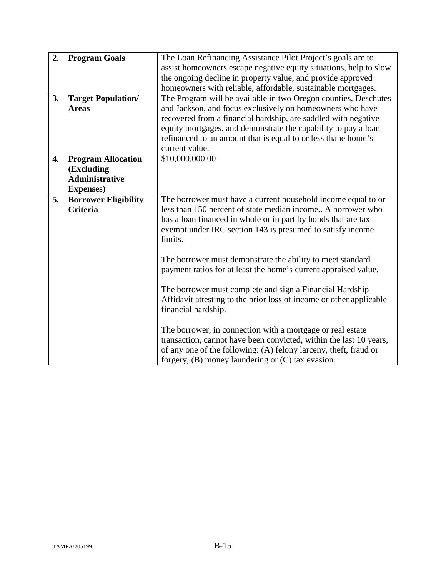| 2. | <b>Program Goals</b>        | The Loan Refinancing Assistance Pilot Project's goals are to        |
|----|-----------------------------|---------------------------------------------------------------------|
|    |                             |                                                                     |
|    |                             | assist homeowners escape negative equity situations, help to slow   |
|    |                             | the ongoing decline in property value, and provide approved         |
|    |                             | homeowners with reliable, affordable, sustainable mortgages.        |
| 3. | <b>Target Population/</b>   | The Program will be available in two Oregon counties, Deschutes     |
|    | <b>Areas</b>                | and Jackson, and focus exclusively on homeowners who have           |
|    |                             | recovered from a financial hardship, are saddled with negative      |
|    |                             | equity mortgages, and demonstrate the capability to pay a loan      |
|    |                             | refinanced to an amount that is equal to or less thane home's       |
|    |                             | current value.                                                      |
| 4. | <b>Program Allocation</b>   | \$10,000,000.00                                                     |
|    | (Excluding                  |                                                                     |
|    | <b>Administrative</b>       |                                                                     |
|    |                             |                                                                     |
|    | <b>Expenses</b> )           |                                                                     |
| 5. | <b>Borrower Eligibility</b> | The borrower must have a current household income equal to or       |
|    | <b>Criteria</b>             | less than 150 percent of state median income A borrower who         |
|    |                             | has a loan financed in whole or in part by bonds that are tax       |
|    |                             | exempt under IRC section 143 is presumed to satisfy income          |
|    |                             | limits.                                                             |
|    |                             |                                                                     |
|    |                             | The borrower must demonstrate the ability to meet standard          |
|    |                             | payment ratios for at least the home's current appraised value.     |
|    |                             |                                                                     |
|    |                             | The borrower must complete and sign a Financial Hardship            |
|    |                             | Affidavit attesting to the prior loss of income or other applicable |
|    |                             | financial hardship.                                                 |
|    |                             |                                                                     |
|    |                             | The borrower, in connection with a mortgage or real estate          |
|    |                             | transaction, cannot have been convicted, within the last 10 years,  |
|    |                             |                                                                     |
|    |                             | of any one of the following: (A) felony larceny, theft, fraud or    |
|    |                             | forgery, (B) money laundering or (C) tax evasion.                   |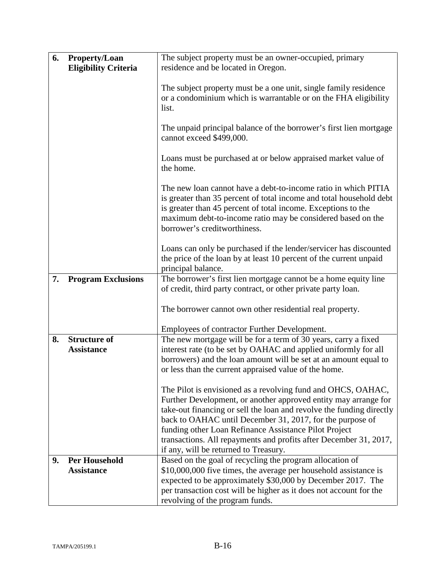| 6. | <b>Property/Loan</b>        | The subject property must be an owner-occupied, primary                                                                                                                                                                                                                                               |
|----|-----------------------------|-------------------------------------------------------------------------------------------------------------------------------------------------------------------------------------------------------------------------------------------------------------------------------------------------------|
|    |                             |                                                                                                                                                                                                                                                                                                       |
|    | <b>Eligibility Criteria</b> | residence and be located in Oregon.                                                                                                                                                                                                                                                                   |
|    |                             | The subject property must be a one unit, single family residence<br>or a condominium which is warrantable or on the FHA eligibility<br>list.                                                                                                                                                          |
|    |                             | The unpaid principal balance of the borrower's first lien mortgage<br>cannot exceed \$499,000.                                                                                                                                                                                                        |
|    |                             | Loans must be purchased at or below appraised market value of<br>the home.                                                                                                                                                                                                                            |
|    |                             | The new loan cannot have a debt-to-income ratio in which PITIA<br>is greater than 35 percent of total income and total household debt<br>is greater than 45 percent of total income. Exceptions to the<br>maximum debt-to-income ratio may be considered based on the<br>borrower's creditworthiness. |
|    |                             | Loans can only be purchased if the lender/servicer has discounted<br>the price of the loan by at least 10 percent of the current unpaid<br>principal balance.                                                                                                                                         |
| 7. | <b>Program Exclusions</b>   | The borrower's first lien mortgage cannot be a home equity line                                                                                                                                                                                                                                       |
|    |                             | of credit, third party contract, or other private party loan.                                                                                                                                                                                                                                         |
|    |                             | The borrower cannot own other residential real property.                                                                                                                                                                                                                                              |
|    |                             | Employees of contractor Further Development.                                                                                                                                                                                                                                                          |
| 8. | <b>Structure of</b>         | The new mortgage will be for a term of 30 years, carry a fixed                                                                                                                                                                                                                                        |
|    | <b>Assistance</b>           | interest rate (to be set by OAHAC and applied uniformly for all                                                                                                                                                                                                                                       |
|    |                             | borrowers) and the loan amount will be set at an amount equal to                                                                                                                                                                                                                                      |
|    |                             | or less than the current appraised value of the home.                                                                                                                                                                                                                                                 |
|    |                             | The Pilot is envisioned as a revolving fund and OHCS, OAHAC,                                                                                                                                                                                                                                          |
|    |                             | Further Development, or another approved entity may arrange for                                                                                                                                                                                                                                       |
|    |                             | take-out financing or sell the loan and revolve the funding directly                                                                                                                                                                                                                                  |
|    |                             | back to OAHAC until December 31, 2017, for the purpose of                                                                                                                                                                                                                                             |
|    |                             | funding other Loan Refinance Assistance Pilot Project                                                                                                                                                                                                                                                 |
|    |                             | transactions. All repayments and profits after December 31, 2017,                                                                                                                                                                                                                                     |
|    |                             | if any, will be returned to Treasury.                                                                                                                                                                                                                                                                 |
| 9. | <b>Per Household</b>        | Based on the goal of recycling the program allocation of                                                                                                                                                                                                                                              |
|    | <b>Assistance</b>           | \$10,000,000 five times, the average per household assistance is                                                                                                                                                                                                                                      |
|    |                             | expected to be approximately \$30,000 by December 2017. The                                                                                                                                                                                                                                           |
|    |                             | per transaction cost will be higher as it does not account for the                                                                                                                                                                                                                                    |
|    |                             | revolving of the program funds.                                                                                                                                                                                                                                                                       |